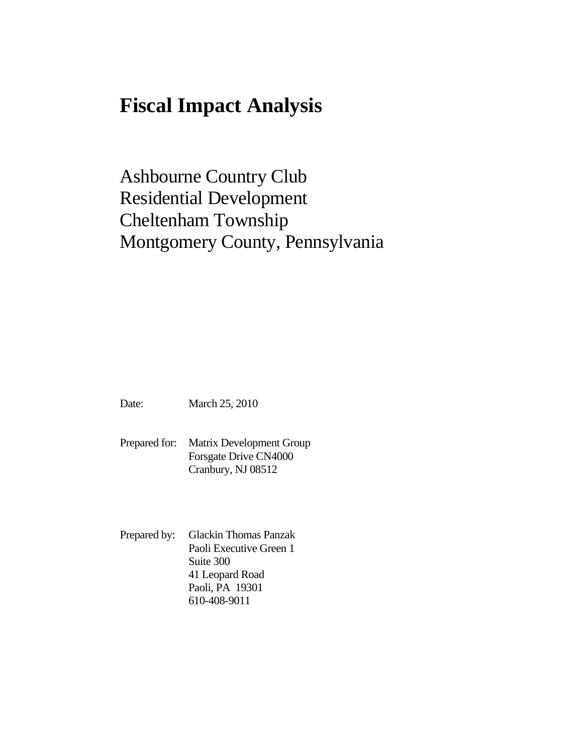# **Fiscal Impact Analysis**

Ashbourne Country Club Residential Development Cheltenham Township Montgomery County, Pennsylvania

Date: March 25, 2010

Prepared for: Matrix Development Group Forsgate Drive CN4000 Cranbury, NJ 08512

Prepared by: Glackin Thomas Panzak Paoli Executive Green 1 Suite 300 41 Leopard Road Paoli, PA 19301 610-408-9011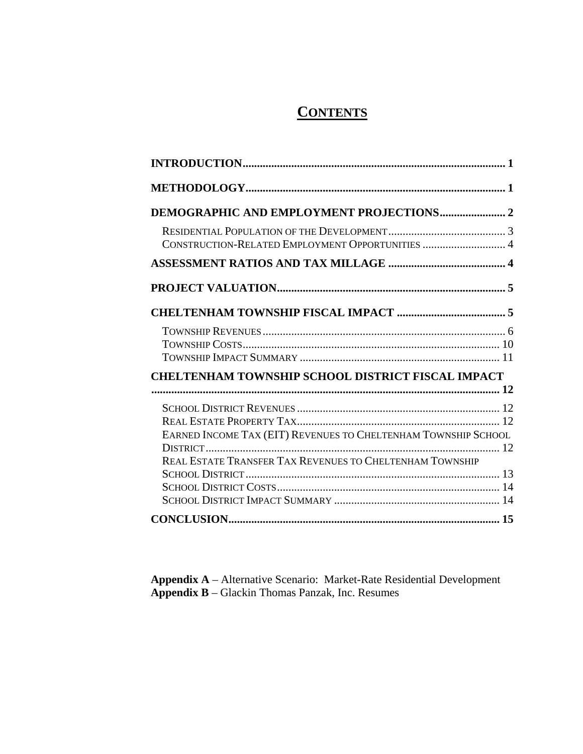# **CONTENTS**

| <b>DEMOGRAPHIC AND EMPLOYMENT PROJECTIONS 2</b>                |  |
|----------------------------------------------------------------|--|
| CONSTRUCTION-RELATED EMPLOYMENT OPPORTUNITIES  4               |  |
|                                                                |  |
|                                                                |  |
|                                                                |  |
|                                                                |  |
| <b>CHELTENHAM TOWNSHIP SCHOOL DISTRICT FISCAL IMPACT</b>       |  |
|                                                                |  |
|                                                                |  |
| EARNED INCOME TAX (EIT) REVENUES TO CHELTENHAM TOWNSHIP SCHOOL |  |
| REAL ESTATE TRANSFER TAX REVENUES TO CHELTENHAM TOWNSHIP       |  |
|                                                                |  |
|                                                                |  |
|                                                                |  |
|                                                                |  |

**Appendix A** – Alternative Scenario: Market-Rate Residential Development **Appendix B** – Glackin Thomas Panzak, Inc. Resumes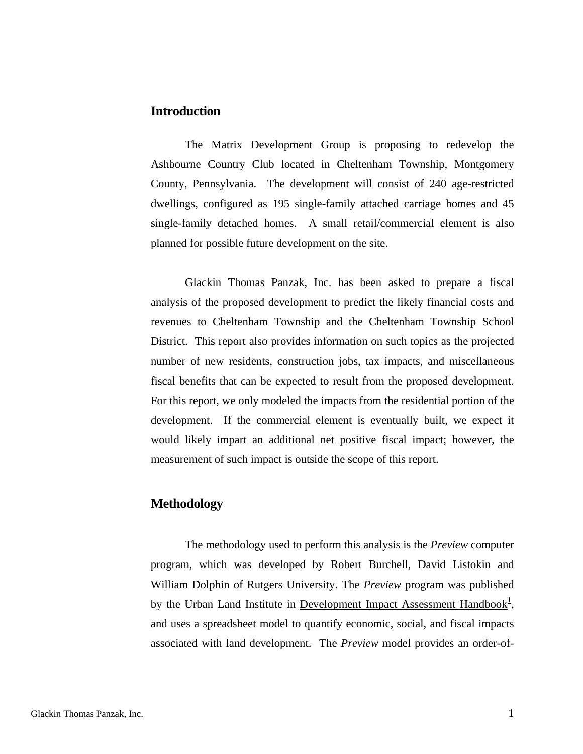## <span id="page-2-0"></span>**Introduction**

The Matrix Development Group is proposing to redevelop the Ashbourne Country Club located in Cheltenham Township, Montgomery County, Pennsylvania. The development will consist of 240 age-restricted dwellings, configured as 195 single-family attached carriage homes and 45 single-family detached homes. A small retail/commercial element is also planned for possible future development on the site.

Glackin Thomas Panzak, Inc. has been asked to prepare a fiscal analysis of the proposed development to predict the likely financial costs and revenues to Cheltenham Township and the Cheltenham Township School District. This report also provides information on such topics as the projected number of new residents, construction jobs, tax impacts, and miscellaneous fiscal benefits that can be expected to result from the proposed development. For this report, we only modeled the impacts from the residential portion of the development. If the commercial element is eventually built, we expect it would likely impart an additional net positive fiscal impact; however, the measurement of such impact is outside the scope of this report.

## **Methodology**

<span id="page-2-1"></span>The methodology used to perform this analysis is the *Preview* computer program, which was developed by Robert Burchell, David Listokin and William Dolphin of Rutgers University. The *Preview* program was published by the Urban Land Institute in Development Impact Assessment Handbook<sup>1</sup>, and uses a spreadsheet model to quantify economic, social, and fiscal impacts associated with land development. The *Preview* model provides an order-of-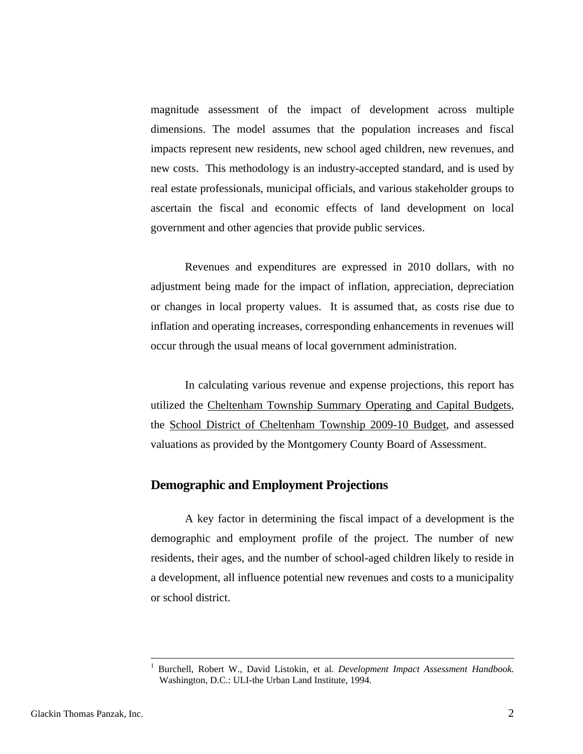<span id="page-3-0"></span>magnitude assessment of the impact of development across multiple dimensions. The model assumes that the population increases and fiscal impacts represent new residents, new school aged children, new revenues, and new costs. This methodology is an industry-accepted standard, and is used by real estate professionals, municipal officials, and various stakeholder groups to ascertain the fiscal and economic effects of land development on local government and other agencies that provide public services.

Revenues and expenditures are expressed in 2010 dollars, with no adjustment being made for the impact of inflation, appreciation, depreciation or changes in local property values. It is assumed that, as costs rise due to inflation and operating increases, corresponding enhancements in revenues will occur through the usual means of local government administration.

In calculating various revenue and expense projections, this report has utilized the Cheltenham Township Summary Operating and Capital Budgets, the School District of Cheltenham Township 2009-10 Budget, and assessed valuations as provided by the Montgomery County Board of Assessment.

#### **Demographic and Employment Projections**

A key factor in determining the fiscal impact of a development is the demographic and employment profile of the project. The number of new residents, their ages, and the number of school-aged children likely to reside in a development, all influence potential new revenues and costs to a municipality or school district.

 $\overline{a}$ 

<sup>1</sup> Burchell, Robert W., David Listokin, et al. *Development Impact Assessment Handbook.* Washington, D.C.: ULI-the Urban Land Institute, 1994.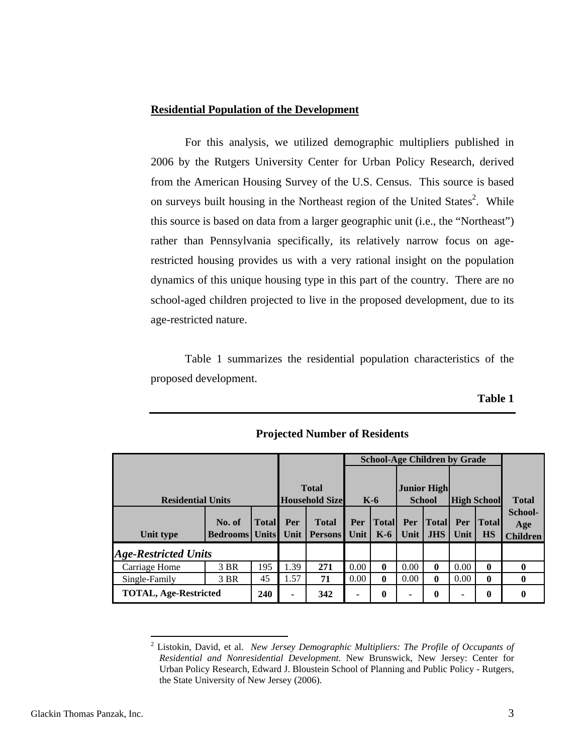#### <span id="page-4-0"></span>**Residential Population of the Development**

For this analysis, we utilized demographic multipliers published in 2006 by the Rutgers University Center for Urban Policy Research, derived from the American Housing Survey of the U.S. Census. This source is based on surveys built housing in the Northeast region of the United States<sup>2</sup>. While this source is based on data from a larger geographic unit (i.e., the "Northeast") rather than Pennsylvania specifically, its relatively narrow focus on agerestricted housing provides us with a very rational insight on the population dynamics of this unique housing type in this part of the country. There are no school-aged children projected to live in the proposed development, due to its age-restricted nature.

Table 1 summarizes the residential population characteristics of the proposed development.

**Table 1** 

|                              |                           |                              |             |                                       |             | <b>School-Age Children by Grade</b> |             |                                     |             |                           |                                   |
|------------------------------|---------------------------|------------------------------|-------------|---------------------------------------|-------------|-------------------------------------|-------------|-------------------------------------|-------------|---------------------------|-----------------------------------|
| <b>Residential Units</b>     |                           |                              |             | <b>Total</b><br><b>Household Size</b> |             | $K-6$                               |             | <b>Junior High</b><br><b>School</b> |             | <b>High School</b>        | <b>Total</b>                      |
| Unit type                    | No. of<br><b>Bedrooms</b> | <b>Total</b><br><b>Units</b> | Per<br>Unit | <b>Total</b><br><b>Persons</b>        | Per<br>Unit | <b>Total</b><br>$K-6$               | Per<br>Unit | <b>Total</b><br><b>JHS</b>          | Per<br>Unit | <b>Total</b><br><b>HS</b> | School-<br>Age<br><b>Children</b> |
| <b>Age-Restricted Units</b>  |                           |                              |             |                                       |             |                                     |             |                                     |             |                           |                                   |
| Carriage Home                | 3 BR                      | 195                          | 1.39        | 271                                   | 0.00        | $\mathbf{0}$                        | 0.00        | $\mathbf{0}$                        | 0.00        | 0                         |                                   |
| Single-Family                | 3 BR                      | 45                           | 1.57        | 71                                    | 0.00        | $\bf{0}$                            | 0.00        | $\mathbf{0}$                        | 0.00        | $\bf{0}$                  | o                                 |
| <b>TOTAL, Age-Restricted</b> |                           | 240                          |             | 342                                   | ۰           | 0                                   | -           | $\boldsymbol{0}$                    | ٠           | 0                         |                                   |

## **Projected Number of Residents**

 $\overline{a}$ 

<span id="page-4-1"></span><sup>2</sup> Listokin, David, et al. *New Jersey Demographic Multipliers: The Profile of Occupants of Residential and Nonresidential Development*. New Brunswick, New Jersey: Center for Urban Policy Research, Edward J. Bloustein School of Planning and Public Policy - Rutgers, the State University of New Jersey (2006).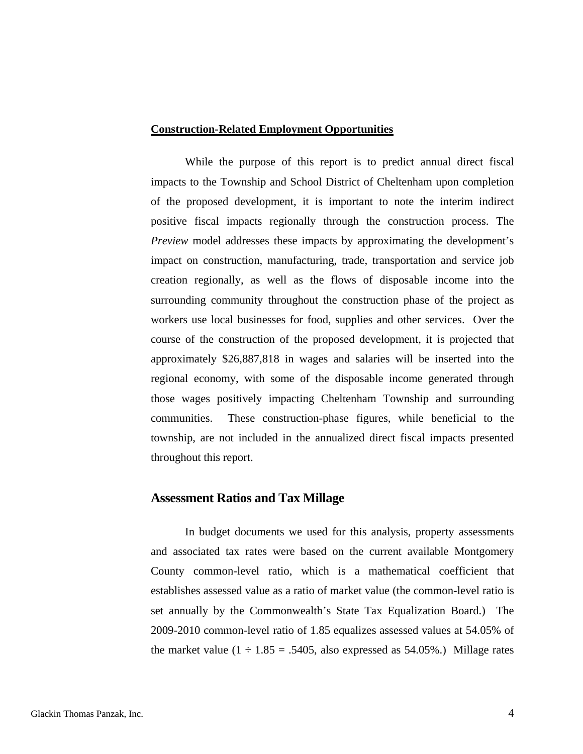#### <span id="page-5-0"></span>**Construction-Related Employment Opportunities**

While the purpose of this report is to predict annual direct fiscal impacts to the Township and School District of Cheltenham upon completion of the proposed development, it is important to note the interim indirect positive fiscal impacts regionally through the construction process. The *Preview* model addresses these impacts by approximating the development's impact on construction, manufacturing, trade, transportation and service job creation regionally, as well as the flows of disposable income into the surrounding community throughout the construction phase of the project as workers use local businesses for food, supplies and other services. Over the course of the construction of the proposed development, it is projected that approximately \$26,887,818 in wages and salaries will be inserted into the regional economy, with some of the disposable income generated through those wages positively impacting Cheltenham Township and surrounding communities. These construction-phase figures, while beneficial to the township, are not included in the annualized direct fiscal impacts presented throughout this report.

#### **Assessment Ratios and Tax Millage**

In budget documents we used for this analysis, property assessments and associated tax rates were based on the current available Montgomery County common-level ratio, which is a mathematical coefficient that establishes assessed value as a ratio of market value (the common-level ratio is set annually by the Commonwealth's State Tax Equalization Board.) The 2009-2010 common-level ratio of 1.85 equalizes assessed values at 54.05% of the market value  $(1 \div 1.85 = .5405)$ , also expressed as 54.05%.) Millage rates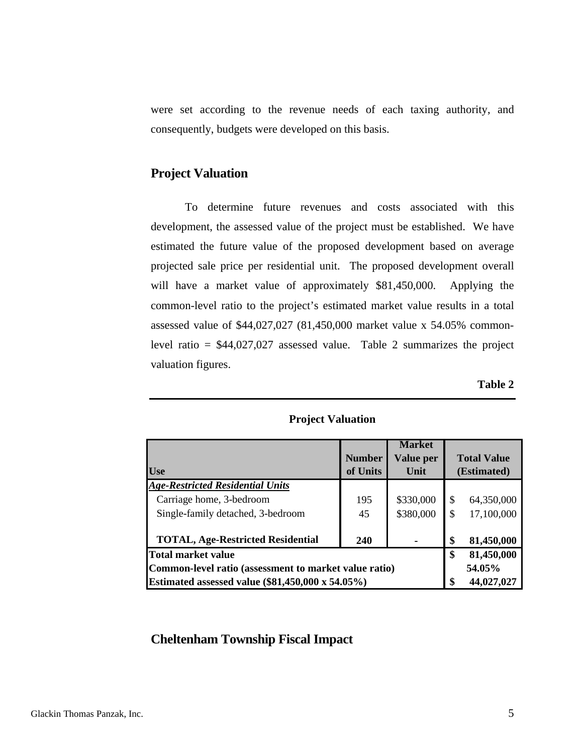<span id="page-6-0"></span>were set according to the revenue needs of each taxing authority, and consequently, budgets were developed on this basis.

# **Project Valuation**

To determine future revenues and costs associated with this development, the assessed value of the project must be established. We have estimated the future value of the proposed development based on average projected sale price per residential unit. The proposed development overall will have a market value of approximately \$81,450,000. Applying the common-level ratio to the project's estimated market value results in a total assessed value of \$44,027,027 (81,450,000 market value x 54.05% commonlevel ratio = \$44,027,027 assessed value. Table 2 summarizes the project valuation figures.

**Table 2** 

|                                                       |               | <b>Market</b>    |               |                    |
|-------------------------------------------------------|---------------|------------------|---------------|--------------------|
|                                                       | <b>Number</b> | <b>Value per</b> |               | <b>Total Value</b> |
| <b>Use</b>                                            | of Units      | Unit             |               | (Estimated)        |
| <b>Age-Restricted Residential Units</b>               |               |                  |               |                    |
| Carriage home, 3-bedroom                              | 195           | \$330,000        | $\mathcal{S}$ | 64,350,000         |
| Single-family detached, 3-bedroom                     | 45            | \$380,000        |               | 17,100,000         |
| <b>TOTAL, Age-Restricted Residential</b>              | 240           |                  | \$            | 81,450,000         |
| <b>Total market value</b>                             | \$            | 81,450,000       |               |                    |
| Common-level ratio (assessment to market value ratio) |               | 54.05%           |               |                    |
| Estimated assessed value (\$81,450,000 x 54.05%)      |               | 44,027,027       |               |                    |

#### **Project Valuation**

## **Cheltenham Township Fiscal Impact**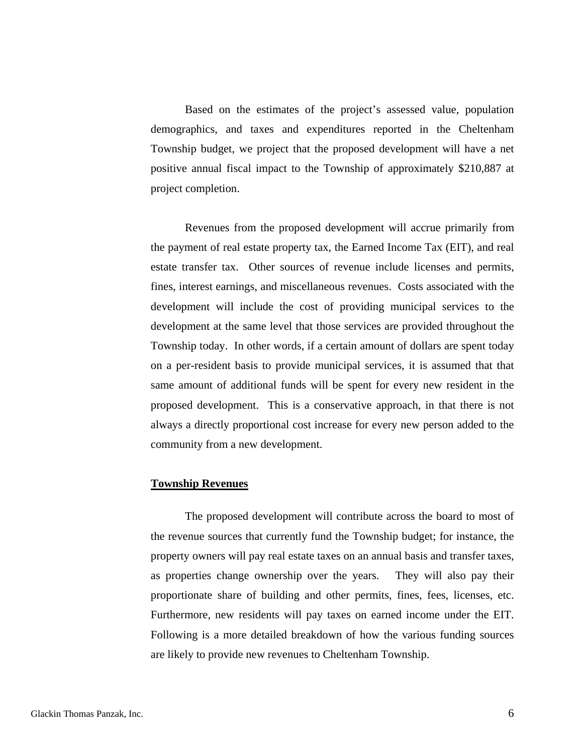<span id="page-7-0"></span>Based on the estimates of the project's assessed value, population demographics, and taxes and expenditures reported in the Cheltenham Township budget, we project that the proposed development will have a net positive annual fiscal impact to the Township of approximately \$210,887 at project completion.

Revenues from the proposed development will accrue primarily from the payment of real estate property tax, the Earned Income Tax (EIT), and real estate transfer tax. Other sources of revenue include licenses and permits, fines, interest earnings, and miscellaneous revenues. Costs associated with the development will include the cost of providing municipal services to the development at the same level that those services are provided throughout the Township today. In other words, if a certain amount of dollars are spent today on a per-resident basis to provide municipal services, it is assumed that that same amount of additional funds will be spent for every new resident in the proposed development. This is a conservative approach, in that there is not always a directly proportional cost increase for every new person added to the community from a new development.

#### **Township Revenues**

The proposed development will contribute across the board to most of the revenue sources that currently fund the Township budget; for instance, the property owners will pay real estate taxes on an annual basis and transfer taxes, as properties change ownership over the years. They will also pay their proportionate share of building and other permits, fines, fees, licenses, etc. Furthermore, new residents will pay taxes on earned income under the EIT. Following is a more detailed breakdown of how the various funding sources are likely to provide new revenues to Cheltenham Township.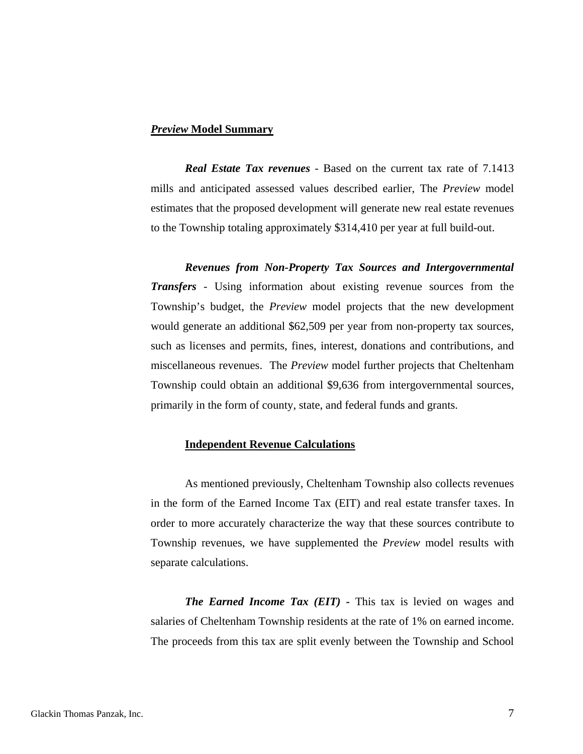#### *Preview* **Model Summary**

*Real Estate Tax revenues* - Based on the current tax rate of 7.1413 mills and anticipated assessed values described earlier, The *Preview* model estimates that the proposed development will generate new real estate revenues to the Township totaling approximately \$314,410 per year at full build-out.

*Revenues from Non-Property Tax Sources and Intergovernmental Transfers -* Using information about existing revenue sources from the Township's budget, the *Preview* model projects that the new development would generate an additional \$62,509 per year from non-property tax sources, such as licenses and permits, fines, interest, donations and contributions, and miscellaneous revenues. The *Preview* model further projects that Cheltenham Township could obtain an additional \$9,636 from intergovernmental sources, primarily in the form of county, state, and federal funds and grants.

#### **Independent Revenue Calculations**

As mentioned previously, Cheltenham Township also collects revenues in the form of the Earned Income Tax (EIT) and real estate transfer taxes. In order to more accurately characterize the way that these sources contribute to Township revenues, we have supplemented the *Preview* model results with separate calculations.

*The Earned Income Tax (EIT) -* This tax is levied on wages and salaries of Cheltenham Township residents at the rate of 1% on earned income. The proceeds from this tax are split evenly between the Township and School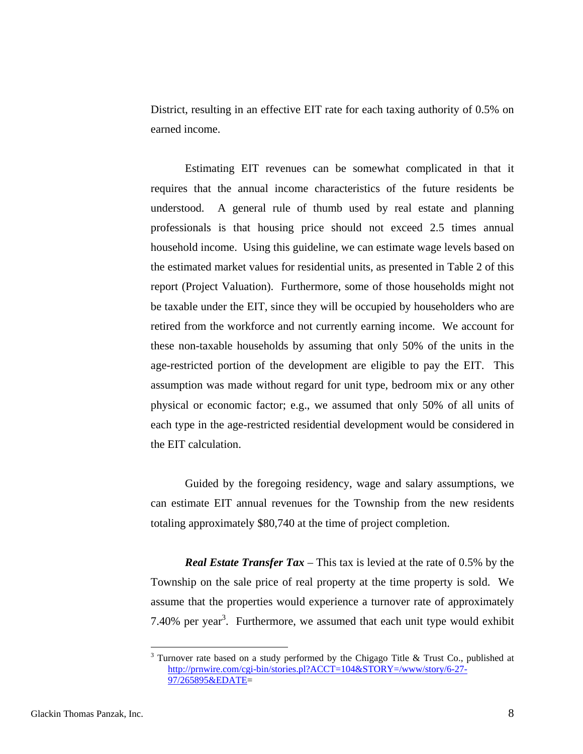District, resulting in an effective EIT rate for each taxing authority of 0.5% on earned income.

Estimating EIT revenues can be somewhat complicated in that it requires that the annual income characteristics of the future residents be understood. A general rule of thumb used by real estate and planning professionals is that housing price should not exceed 2.5 times annual household income. Using this guideline, we can estimate wage levels based on the estimated market values for residential units, as presented in Table 2 of this report (Project Valuation). Furthermore, some of those households might not be taxable under the EIT, since they will be occupied by householders who are retired from the workforce and not currently earning income. We account for these non-taxable households by assuming that only 50% of the units in the age-restricted portion of the development are eligible to pay the EIT. This assumption was made without regard for unit type, bedroom mix or any other physical or economic factor; e.g., we assumed that only 50% of all units of each type in the age-restricted residential development would be considered in the EIT calculation.

Guided by the foregoing residency, wage and salary assumptions, we can estimate EIT annual revenues for the Township from the new residents totaling approximately \$80,740 at the time of project completion.

*Real Estate Transfer Tax* – This tax is levied at the rate of 0.5% by the Township on the sale price of real property at the time property is sold. We assume that the properties would experience a turnover rate of approximately 7.40% per year<sup>3</sup>. Furthermore, we assumed that each unit type would exhibit

 $\overline{a}$ 

<span id="page-9-0"></span> $3$  Turnover rate based on a study performed by the Chigago Title & Trust Co., published at [http://prnwire.com/cgi-bin/stories.pl?ACCT=104&STORY=/www/story/6-27-](http://prnwire.com/cgi-bin/stories.pl?ACCT=104&STORY=/www/story/6-27-97/265895&EDATE) [97/265895&EDATE=](http://prnwire.com/cgi-bin/stories.pl?ACCT=104&STORY=/www/story/6-27-97/265895&EDATE)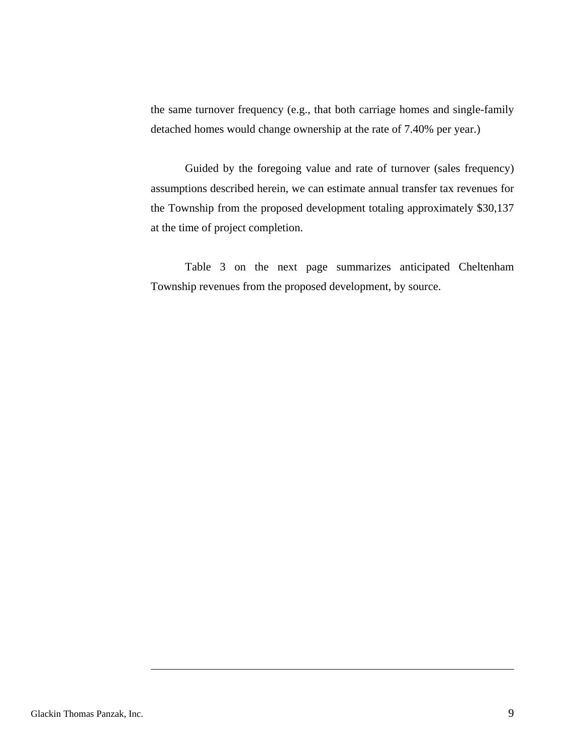the same turnover frequency (e.g., that both carriage homes and single-family detached homes would change ownership at the rate of 7.40% per year.)

Guided by the foregoing value and rate of turnover (sales frequency) assumptions described herein, we can estimate annual transfer tax revenues for the Township from the proposed development totaling approximately \$30,137 at the time of project completion.

Table 3 on the next page summarizes anticipated Cheltenham Township revenues from the proposed development, by source.

 $\overline{a}$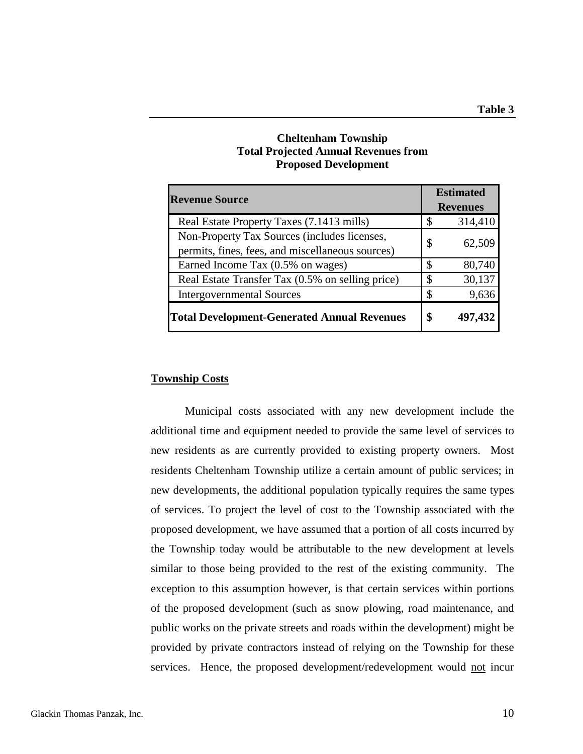## **Cheltenham Township Total Projected Annual Revenues from Proposed Development**

<span id="page-11-0"></span>

| <b>Revenue Source</b>                                                                            |    | <b>Estimated</b><br><b>Revenues</b> |  |  |
|--------------------------------------------------------------------------------------------------|----|-------------------------------------|--|--|
| Real Estate Property Taxes (7.1413 mills)                                                        | \$ | 314,410                             |  |  |
| Non-Property Tax Sources (includes licenses,<br>permits, fines, fees, and miscellaneous sources) | \$ | 62,509                              |  |  |
| Earned Income Tax (0.5% on wages)                                                                | S  | 80,740                              |  |  |
| Real Estate Transfer Tax (0.5% on selling price)                                                 | \$ | 30,137                              |  |  |
| <b>Intergovernmental Sources</b>                                                                 | \$ | 9,636                               |  |  |
| <b>Total Development-Generated Annual Revenues</b>                                               |    | 497,432                             |  |  |

#### **Township Costs**

Municipal costs associated with any new development include the additional time and equipment needed to provide the same level of services to new residents as are currently provided to existing property owners. Most residents Cheltenham Township utilize a certain amount of public services; in new developments, the additional population typically requires the same types of services. To project the level of cost to the Township associated with the proposed development, we have assumed that a portion of all costs incurred by the Township today would be attributable to the new development at levels similar to those being provided to the rest of the existing community. The exception to this assumption however, is that certain services within portions of the proposed development (such as snow plowing, road maintenance, and public works on the private streets and roads within the development) might be provided by private contractors instead of relying on the Township for these services. Hence, the proposed development/redevelopment would not incur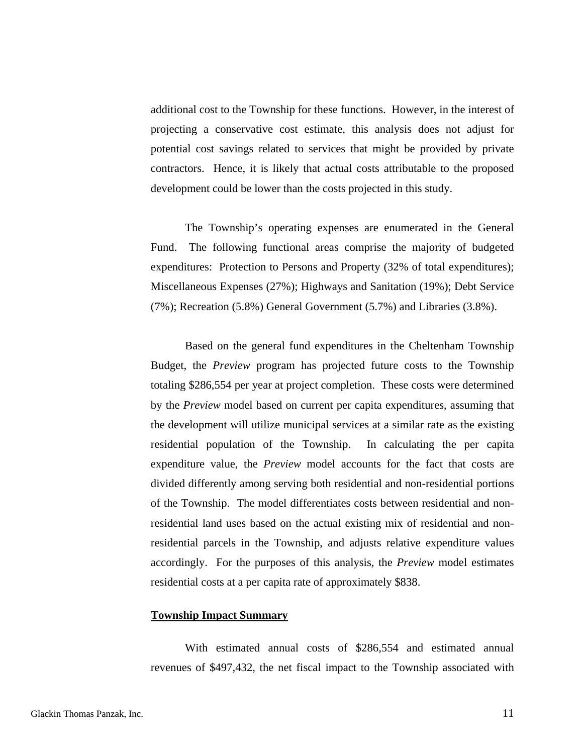<span id="page-12-0"></span>additional cost to the Township for these functions. However, in the interest of projecting a conservative cost estimate, this analysis does not adjust for potential cost savings related to services that might be provided by private contractors. Hence, it is likely that actual costs attributable to the proposed development could be lower than the costs projected in this study.

The Township's operating expenses are enumerated in the General Fund. The following functional areas comprise the majority of budgeted expenditures: Protection to Persons and Property (32% of total expenditures); Miscellaneous Expenses (27%); Highways and Sanitation (19%); Debt Service (7%); Recreation (5.8%) General Government (5.7%) and Libraries (3.8%).

Based on the general fund expenditures in the Cheltenham Township Budget, the *Preview* program has projected future costs to the Township totaling \$286,554 per year at project completion. These costs were determined by the *Preview* model based on current per capita expenditures, assuming that the development will utilize municipal services at a similar rate as the existing residential population of the Township. In calculating the per capita expenditure value, the *Preview* model accounts for the fact that costs are divided differently among serving both residential and non-residential portions of the Township. The model differentiates costs between residential and nonresidential land uses based on the actual existing mix of residential and nonresidential parcels in the Township, and adjusts relative expenditure values accordingly. For the purposes of this analysis, the *Preview* model estimates residential costs at a per capita rate of approximately \$838.

#### **Township Impact Summary**

With estimated annual costs of \$286,554 and estimated annual revenues of \$497,432, the net fiscal impact to the Township associated with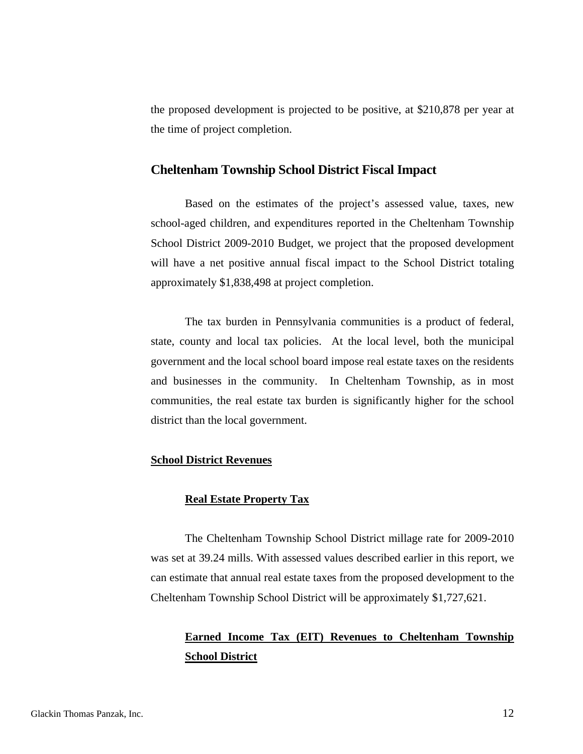<span id="page-13-0"></span>the proposed development is projected to be positive, at \$210,878 per year at the time of project completion.

#### **Cheltenham Township School District Fiscal Impact**

Based on the estimates of the project's assessed value, taxes, new school-aged children, and expenditures reported in the Cheltenham Township School District 2009-2010 Budget, we project that the proposed development will have a net positive annual fiscal impact to the School District totaling approximately \$1,838,498 at project completion.

The tax burden in Pennsylvania communities is a product of federal, state, county and local tax policies. At the local level, both the municipal government and the local school board impose real estate taxes on the residents and businesses in the community. In Cheltenham Township, as in most communities, the real estate tax burden is significantly higher for the school district than the local government.

#### **School District Revenues**

#### **Real Estate Property Tax**

The Cheltenham Township School District millage rate for 2009-2010 was set at 39.24 mills. With assessed values described earlier in this report, we can estimate that annual real estate taxes from the proposed development to the Cheltenham Township School District will be approximately \$1,727,621.

# **Earned Income Tax (EIT) Revenues to Cheltenham Township School District**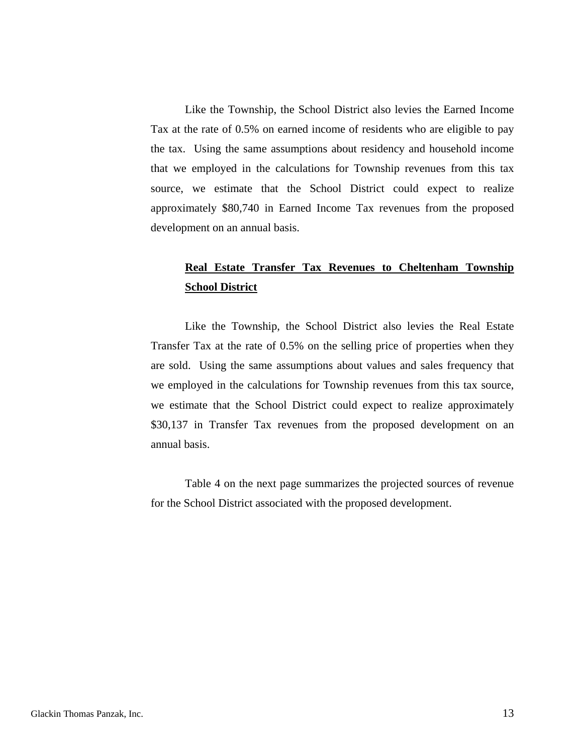<span id="page-14-0"></span>Like the Township, the School District also levies the Earned Income Tax at the rate of 0.5% on earned income of residents who are eligible to pay the tax. Using the same assumptions about residency and household income that we employed in the calculations for Township revenues from this tax source, we estimate that the School District could expect to realize approximately \$80,740 in Earned Income Tax revenues from the proposed development on an annual basis.

# **Real Estate Transfer Tax Revenues to Cheltenham Township School District**

Like the Township, the School District also levies the Real Estate Transfer Tax at the rate of 0.5% on the selling price of properties when they are sold. Using the same assumptions about values and sales frequency that we employed in the calculations for Township revenues from this tax source, we estimate that the School District could expect to realize approximately \$30,137 in Transfer Tax revenues from the proposed development on an annual basis.

Table 4 on the next page summarizes the projected sources of revenue for the School District associated with the proposed development.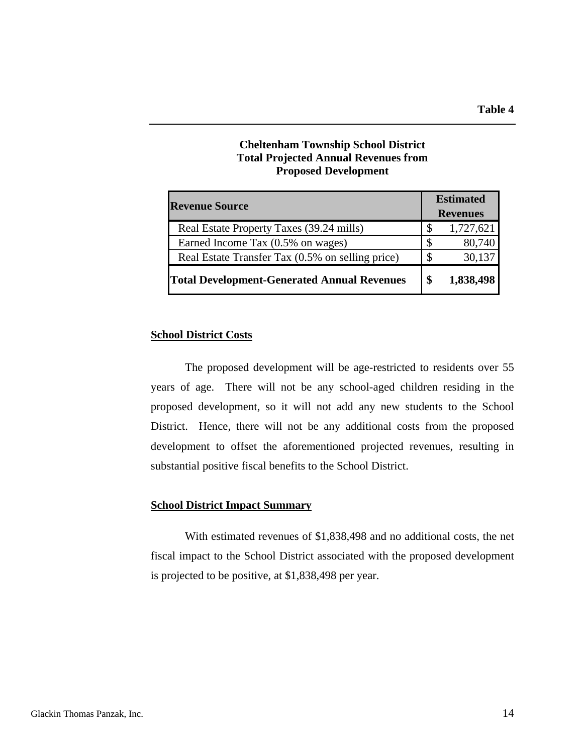### **Cheltenham Township School District Total Projected Annual Revenues from Proposed Development**

<span id="page-15-0"></span>

| <b>Revenue Source</b>                              |    | <b>Estimated</b><br><b>Revenues</b> |  |  |
|----------------------------------------------------|----|-------------------------------------|--|--|
| Real Estate Property Taxes (39.24 mills)           |    | 1,727,621                           |  |  |
| Earned Income Tax (0.5% on wages)                  |    | 80,740                              |  |  |
| Real Estate Transfer Tax (0.5% on selling price)   |    | 30,137                              |  |  |
| <b>Total Development-Generated Annual Revenues</b> | \$ | 1,838,498                           |  |  |

## **School District Costs**

The proposed development will be age-restricted to residents over 55 years of age. There will not be any school-aged children residing in the proposed development, so it will not add any new students to the School District. Hence, there will not be any additional costs from the proposed development to offset the aforementioned projected revenues, resulting in substantial positive fiscal benefits to the School District.

#### **School District Impact Summary**

With estimated revenues of \$1,838,498 and no additional costs, the net fiscal impact to the School District associated with the proposed development is projected to be positive, at \$1,838,498 per year.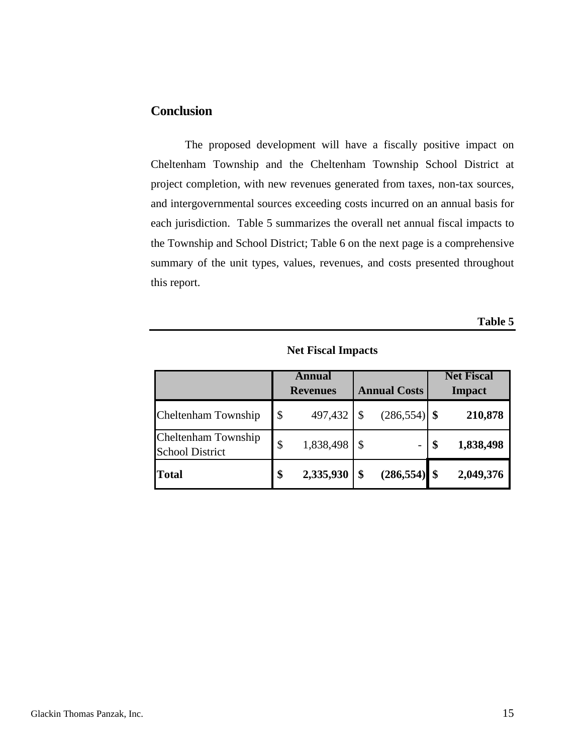# <span id="page-16-0"></span>**Conclusion**

The proposed development will have a fiscally positive impact on Cheltenham Township and the Cheltenham Township School District at project completion, with new revenues generated from taxes, non-tax sources, and intergovernmental sources exceeding costs incurred on an annual basis for each jurisdiction. Table 5 summarizes the overall net annual fiscal impacts to the Township and School District; Table 6 on the next page is a comprehensive summary of the unit types, values, revenues, and costs presented throughout this report.

**Table 5** 

**Net Fiscal Impacts** 

|                                               | Annual<br><b>Revenues</b> |           | <b>Annual Costs</b> | <b>Net Fiscal</b><br><b>Impact</b> |           |  |
|-----------------------------------------------|---------------------------|-----------|---------------------|------------------------------------|-----------|--|
| Cheltenham Township                           | \$                        | 497,432   | $(286, 554)$ \$     |                                    | 210,878   |  |
| Cheltenham Township<br><b>School District</b> | \$                        | 1,838,498 |                     |                                    | 1,838,498 |  |
| <b>Total</b>                                  | \$                        | 2,335,930 | $(286, 554)$ \$     |                                    | 2,049,376 |  |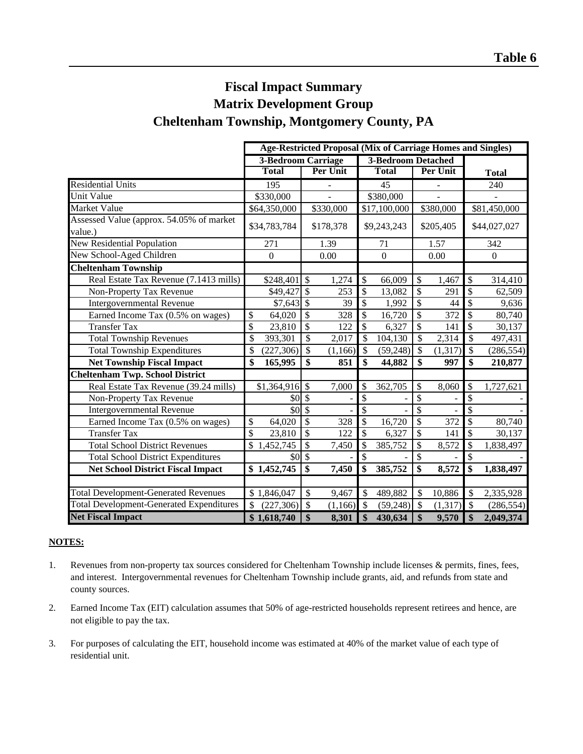# **Cheltenham Township, Montgomery County, PA Fiscal Impact Summary Matrix Development Group**

|                                                 | <b>Age-Restricted Proposal (Mix of Carriage Homes and Singles)</b> |                                   |                                       |                           |                                        |
|-------------------------------------------------|--------------------------------------------------------------------|-----------------------------------|---------------------------------------|---------------------------|----------------------------------------|
|                                                 |                                                                    | <b>3-Bedroom Carriage</b>         | <b>3-Bedroom Detached</b>             |                           |                                        |
|                                                 | <b>Total</b>                                                       | Per Unit                          | <b>Total</b>                          | Per Unit                  | <b>Total</b>                           |
| <b>Residential Units</b>                        | 195                                                                |                                   | 45                                    | $\overline{\phantom{m}}$  | 240                                    |
| Unit Value                                      | \$330,000                                                          |                                   | \$380,000                             |                           |                                        |
| Market Value                                    | \$64,350,000                                                       | \$330,000                         | \$17,100,000                          | \$380,000                 | \$81,450,000                           |
| Assessed Value (approx. 54.05% of market        |                                                                    |                                   |                                       |                           |                                        |
| value.)                                         | \$34,783,784                                                       | \$178,378                         | \$9,243,243                           | \$205,405                 | \$44,027,027                           |
| New Residential Population                      | 271                                                                | 1.39                              | 71                                    | 1.57                      | 342                                    |
| New School-Aged Children                        | $\boldsymbol{0}$                                                   | 0.00                              | $\mathbf{0}$                          | 0.00                      | $\boldsymbol{0}$                       |
| <b>Cheltenham Township</b>                      |                                                                    |                                   |                                       |                           |                                        |
| Real Estate Tax Revenue (7.1413 mills)          |                                                                    | 1,274                             | \$<br>66,009                          | \$<br>1,467               | \$<br>314,410                          |
| Non-Property Tax Revenue                        | $$49,427$ \$                                                       | 253                               | \$<br>13,082                          | \$<br>291                 | \$<br>62,509                           |
| <b>Intergovernmental Revenue</b>                | $$7,643$ \$                                                        | 39                                | \$<br>1,992                           | \$<br>44                  | \$<br>9,636                            |
| Earned Income Tax (0.5% on wages)               | \$<br>64,020                                                       | \$<br>328                         | \$<br>16,720                          | \$<br>372                 | \$<br>80,740                           |
| <b>Transfer Tax</b>                             | \$<br>23,810                                                       | \$<br>122                         | \$<br>6,327                           | \$<br>141                 | \$<br>30,137                           |
| <b>Total Township Revenues</b>                  | \$<br>393,301                                                      | \$<br>2,017                       | $\mathcal{S}$<br>104,130              | \$<br>2,314               | \$<br>497,431                          |
| <b>Total Township Expenditures</b>              | \$<br>(227, 306)                                                   | \$<br>(1, 166)                    | $\overline{\mathcal{S}}$<br>(59, 248) | $\mathcal{S}$<br>(1, 317) | $\overline{\mathcal{S}}$<br>(286, 554) |
| <b>Net Township Fiscal Impact</b>               | \$<br>165,995                                                      | $\mathbf{\$}$<br>851              | \$<br>44,882                          | \$<br>997                 | \$<br>210,877                          |
| <b>Cheltenham Twp. School District</b>          |                                                                    |                                   |                                       |                           |                                        |
| Real Estate Tax Revenue (39.24 mills)           | $$1,364,916$ \$                                                    | 7,000                             | 362,705<br>\$                         | \$<br>8,060               | \$<br>1,727,621                        |
| Non-Property Tax Revenue                        | \$0                                                                | $\overline{\mathcal{S}}$          | $\overline{\$}$                       | $\overline{\$}$           | \$                                     |
| <b>Intergovernmental Revenue</b>                | \$0                                                                | \$                                | \$                                    | \$                        | \$                                     |
| Earned Income Tax (0.5% on wages)               | \$<br>64,020                                                       | \$<br>328                         | \$<br>16,720                          | \$<br>372                 | \$<br>80,740                           |
| <b>Transfer Tax</b>                             | \$<br>23,810                                                       | $\mathbb{S}$<br>122               | $\overline{\mathcal{S}}$<br>6,327     | \$<br>141                 | \$<br>30,137                           |
| <b>Total School District Revenues</b>           | \$<br>1,452,745                                                    | $\mathbb{S}$<br>7,450             | \$<br>385,752                         | \$<br>8,572               | \$<br>1,838,497                        |
| <b>Total School District Expenditures</b>       | $$0\$ \$                                                           |                                   | \$                                    | \$                        | \$                                     |
| <b>Net School District Fiscal Impact</b>        | \$1,452,745                                                        | \$<br>7,450                       | \$<br>385,752                         | \$<br>8,572               | \$<br>1,838,497                        |
|                                                 |                                                                    |                                   |                                       |                           |                                        |
| <b>Total Development-Generated Revenues</b>     | \$1,846,047                                                        | $\overline{\mathcal{S}}$<br>9,467 | $\mathcal{S}$<br>489,882              | $\mathcal{S}$<br>10,886   | \$<br>2,335,928                        |
| <b>Total Development-Generated Expenditures</b> | \$<br>(227, 306)                                                   | \$<br>(1, 166)                    | $\mathcal{S}$<br>(59, 248)            | (1,317)<br>$\mathcal{S}$  | $\mathcal{S}$<br>(286, 554)            |
| <b>Net Fiscal Impact</b>                        | \$1,618,740                                                        | \$<br>8,301                       | \$<br>430,634                         | \$<br>9,570               | \$<br>2,049,374                        |

#### **NOTES:**

- 1. Revenues from non-property tax sources considered for Cheltenham Township include licenses & permits, fines, fees, and interest. Intergovernmental revenues for Cheltenham Township include grants, aid, and refunds from state and county sources.
- 2. Earned Income Tax (EIT) calculation assumes that 50% of age-restricted households represent retirees and hence, are not eligible to pay the tax.
- 3. For purposes of calculating the EIT, household income was estimated at 40% of the market value of each type of residential unit.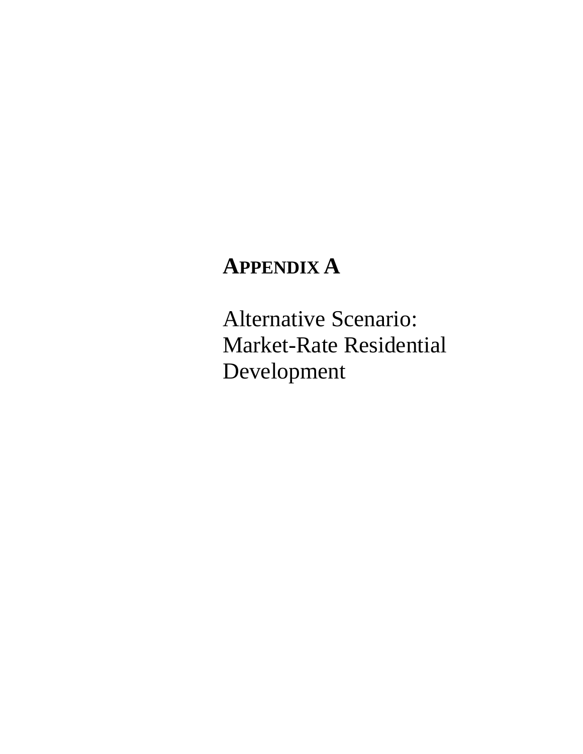# **APPENDIX A**

Alternative Scenario: Market-Rate Residential Development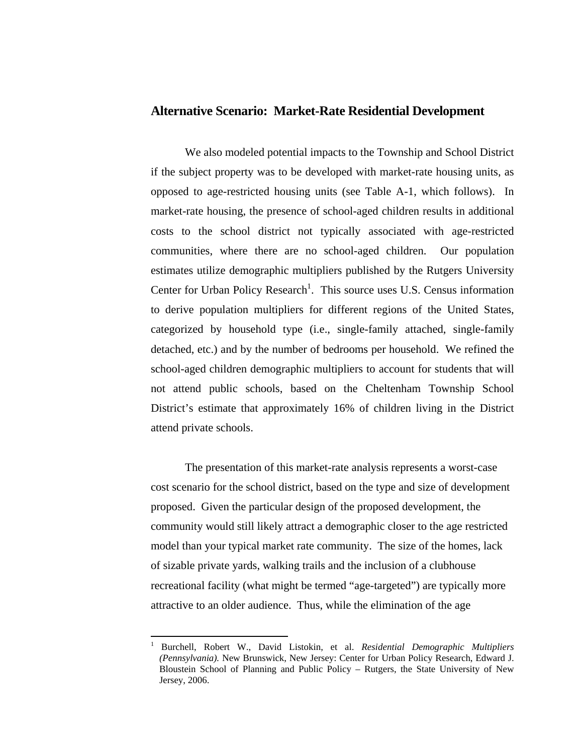#### **Alternative Scenario: Market-Rate Residential Development**

We also modeled potential impacts to the Township and School District if the subject property was to be developed with market-rate housing units, as opposed to age-restricted housing units (see Table A-1, which follows). In market-rate housing, the presence of school-aged children results in additional costs to the school district not typically associated with age-restricted communities, where there are no school-aged children. Our population estimates utilize demographic multipliers published by the Rutgers University Center for Urban Policy Research<sup>[1](#page-19-0)</sup>. This source uses U.S. Census information to derive population multipliers for different regions of the United States, categorized by household type (i.e., single-family attached, single-family detached, etc.) and by the number of bedrooms per household. We refined the school-aged children demographic multipliers to account for students that will not attend public schools, based on the Cheltenham Township School District's estimate that approximately 16% of children living in the District attend private schools.

The presentation of this market-rate analysis represents a worst-case cost scenario for the school district, based on the type and size of development proposed. Given the particular design of the proposed development, the community would still likely attract a demographic closer to the age restricted model than your typical market rate community. The size of the homes, lack of sizable private yards, walking trails and the inclusion of a clubhouse recreational facility (what might be termed "age-targeted") are typically more attractive to an older audience. Thus, while the elimination of the age

 $\overline{a}$ 

<span id="page-19-0"></span><sup>1</sup> Burchell, Robert W., David Listokin, et al. *Residential Demographic Multipliers (Pennsylvania).* New Brunswick, New Jersey: Center for Urban Policy Research, Edward J. Bloustein School of Planning and Public Policy – Rutgers, the State University of New Jersey, 2006.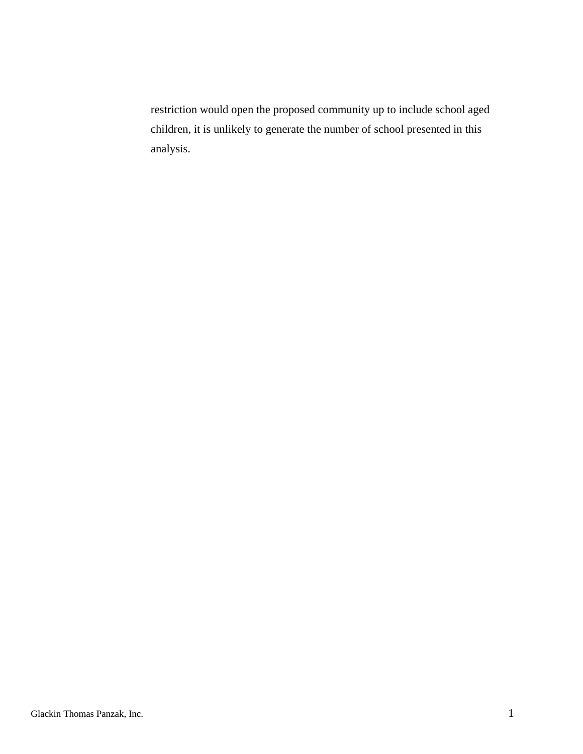restriction would open the proposed community up to include school aged children, it is unlikely to generate the number of school presented in this analysis.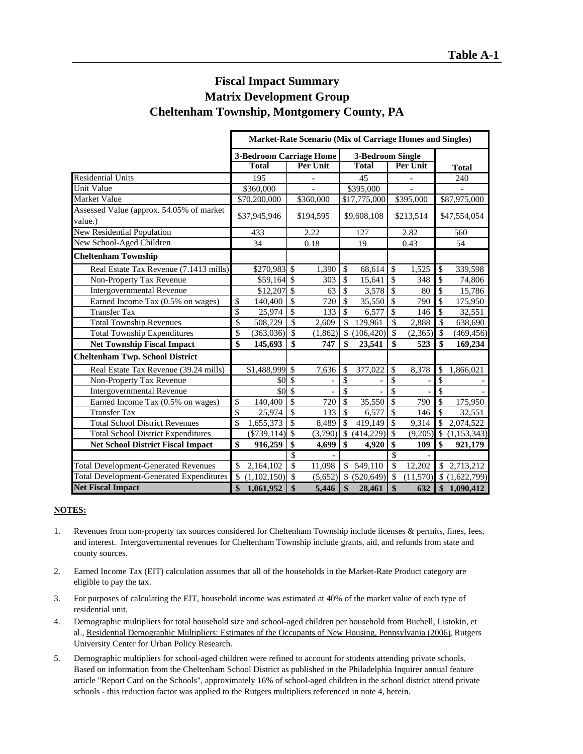# **Fiscal Impact Summary Matrix Development Group Cheltenham Township, Montgomery County, PA**

|                                                     | <b>Market-Rate Scenario (Mix of Carriage Homes and Singles)</b>   |                                                |                                   |                                     |                                        |  |
|-----------------------------------------------------|-------------------------------------------------------------------|------------------------------------------------|-----------------------------------|-------------------------------------|----------------------------------------|--|
|                                                     | <b>3-Bedroom Carriage Home</b><br><b>Total</b><br><b>Per Unit</b> |                                                | 3-Bedroom Single<br><b>Total</b>  | <b>Total</b>                        |                                        |  |
| <b>Residential Units</b>                            | 195                                                               |                                                | 45                                |                                     | 240                                    |  |
| Unit Value                                          | \$360,000                                                         |                                                | \$395,000                         |                                     |                                        |  |
| Market Value                                        | \$70,200,000                                                      | \$360,000                                      | \$17,775,000                      | \$395,000                           | \$87,975,000                           |  |
| Assessed Value (approx. 54.05% of market<br>value.) | \$37,945,946                                                      | \$194,595                                      | \$9,608,108                       | \$213,514                           | \$47,554,054                           |  |
| <b>New Residential Population</b>                   | 433                                                               | 2.22                                           | 127                               | 2.82                                | 560                                    |  |
| New School-Aged Children                            | 34                                                                | 0.18                                           | 19                                | 0.43                                | 54                                     |  |
| <b>Cheltenham Township</b>                          |                                                                   |                                                |                                   |                                     |                                        |  |
| Real Estate Tax Revenue (7.1413 mills)              | \$270,983 \$                                                      | 1,390                                          | \$<br>68,614                      | \$<br>1,525                         | \$<br>339,598                          |  |
| Non-Property Tax Revenue                            | $$59,164$ \$                                                      | 303                                            | \$<br>15,641                      | $\boldsymbol{\mathsf{S}}$<br>348    | \$<br>74,806                           |  |
| <b>Intergovernmental Revenue</b>                    | \$12,207                                                          | $\sqrt{3}$<br>63                               | $\overline{\$}$<br>3,578          | $\overline{\mathcal{S}}$<br>80      | $\overline{\$}$<br>15,786              |  |
| Earned Income Tax (0.5% on wages)                   | \$<br>140,400                                                     | $\overline{\$}$<br>720                         | \$<br>35,550                      | $\overline{\$}$<br>790              | $\overline{\$}$<br>175,950             |  |
| <b>Transfer Tax</b>                                 | $\overline{\$}$<br>25,974                                         | $\overline{\$}$<br>133                         | $\overline{\mathcal{S}}$<br>6,577 | $\overline{\mathcal{S}}$<br>146     | $\overline{\mathcal{S}}$<br>32,551     |  |
| <b>Total Township Revenues</b>                      | \$<br>508,729                                                     | $\overline{\mathcal{S}}$<br>$\overline{2,609}$ | $\mathcal{S}$<br>129,961          | $\overline{\mathcal{S}}$<br>2,888   | $\overline{\mathcal{S}}$<br>638,690    |  |
| <b>Total Township Expenditures</b>                  | \$<br>(363,036)                                                   | $\overline{\mathcal{S}}$<br>(1,862)            | $\mathbb{S}$<br>(106, 420)        | $\mathcal{S}$<br>(2,365)            | $\overline{\mathcal{S}}$<br>(469, 456) |  |
| <b>Net Township Fiscal Impact</b>                   | $\overline{\mathbf{s}}$<br>145,693                                | $\overline{\mathbf{s}}$<br>747                 | $\boldsymbol{\hat{S}}$<br>23,541  | $\overline{\mathbf{s}}$<br>523      | $\overline{\mathbf{s}}$<br>169,234     |  |
| <b>Cheltenham Twp. School District</b>              |                                                                   |                                                |                                   |                                     |                                        |  |
| Real Estate Tax Revenue (39.24 mills)               | \$1,488,999                                                       | $\mathcal{S}$<br>7,636                         | \$<br>377,022                     | $\overline{\mathcal{S}}$<br>8,378   | \$<br>1,866,021                        |  |
| Non-Property Tax Revenue                            | \$0                                                               | $\mathcal{S}$                                  | \$                                | \$                                  | \$                                     |  |
| <b>Intergovernmental Revenue</b>                    | \$0                                                               | $\mathcal{S}$                                  | \$                                | \$                                  | $\overline{\mathcal{S}}$               |  |
| Earned Income Tax (0.5% on wages)                   | $\mathcal{S}$<br>140,400                                          | $\overline{\mathcal{S}}$<br>720                | \$<br>35,550                      | $\overline{\mathcal{S}}$<br>790     | $\overline{\$}$<br>175,950             |  |
| <b>Transfer Tax</b>                                 | \$<br>25,974                                                      | \$<br>133                                      | \$<br>6,577                       | $\overline{\mathcal{S}}$<br>146     | $\mathsf{\$}$<br>32,551                |  |
| <b>Total School District Revenues</b>               | \$<br>1,655,373                                                   | $\overline{\$}$<br>8,489                       | \$<br>419,149                     | $\overline{\mathcal{S}}$<br>9,314   | $\overline{\$}$<br>2,074,522           |  |
| <b>Total School District Expenditures</b>           |                                                                   | (3,790)                                        | \$<br>(414, 229)                  | $\overline{\mathcal{S}}$<br>(9,205) | \$<br>(1, 153, 343)                    |  |
| <b>Net School District Fiscal Impact</b>            | \$<br>916,259                                                     | \$<br>4,699                                    | \$<br>4,920                       | \$<br>109                           | \$<br>921,179                          |  |
|                                                     |                                                                   | $\overline{\$}$                                |                                   | $\overline{\mathcal{S}}$            |                                        |  |
| <b>Total Development-Generated Revenues</b>         | \$<br>2,164,102                                                   | $\overline{\mathcal{S}}$<br>11,098             | $\mathbb{S}$<br>549,110           | $\overline{\mathcal{S}}$<br>12.202  | $\mathbb{S}$<br>2,713,212              |  |
| <b>Total Development-Generated Expenditures</b>     | $\mathcal{S}$<br>(1,102,150)                                      | $\mathcal{S}$<br>(5,652)                       | \$ (520,649)                      | $\mathcal{S}$<br>(11,570)           | (1,622,799)                            |  |
| <b>Net Fiscal Impact</b>                            | \$<br>1,061,952                                                   | $\overline{\mathbf{s}}$<br>5,446               | $\boldsymbol{\$}$<br>28,461       | $\boldsymbol{\mathsf{s}}$<br>632    | \$1,090,412                            |  |

#### **NOTES:**

- 1. Revenues from non-property tax sources considered for Cheltenham Township include licenses & permits, fines, fees, and interest. Intergovernmental revenues for Cheltenham Township include grants, aid, and refunds from state and county sources.
- 2. Earned Income Tax (EIT) calculation assumes that all of the households in the Market-Rate Product category are eligible to pay the tax.
- 3. For purposes of calculating the EIT, household income was estimated at 40% of the market value of each type of residential unit.
- 4. Demographic multipliers for total household size and school-aged children per household from Buchell, Listokin, et al., Residential Demographic Multipliers: Estimates of the Occupants of New Housing, Pennsylvania (2006), Rutgers University Center for Urban Policy Research.
- 5. Demographic multipliers for school-aged children were refined to account for students attending private schools. Based on information from the Cheltenham School District as published in the Philadelphia Inquirer annual feature article "Report Card on the Schools", approximately 16% of school-aged children in the school district attend private schools - this reduction factor was applied to the Rutgers multipliers referenced in note 4, herein.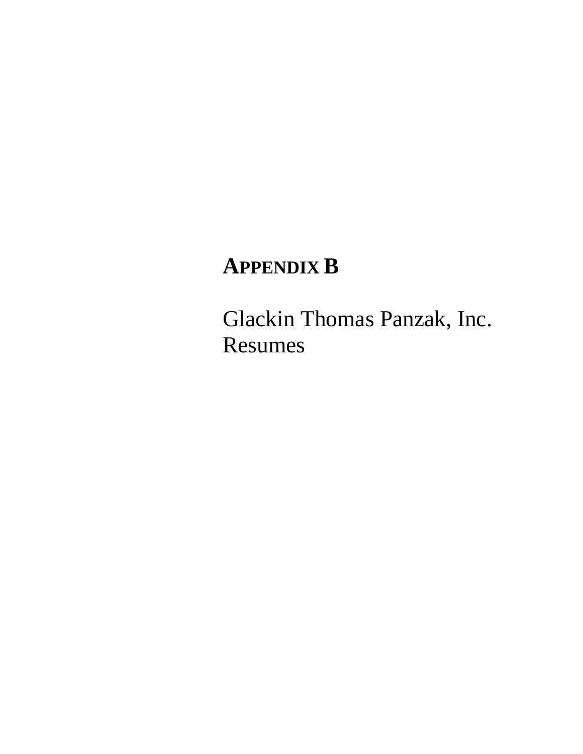# **APPENDIX B**

Glackin Thomas Panzak, Inc. Resumes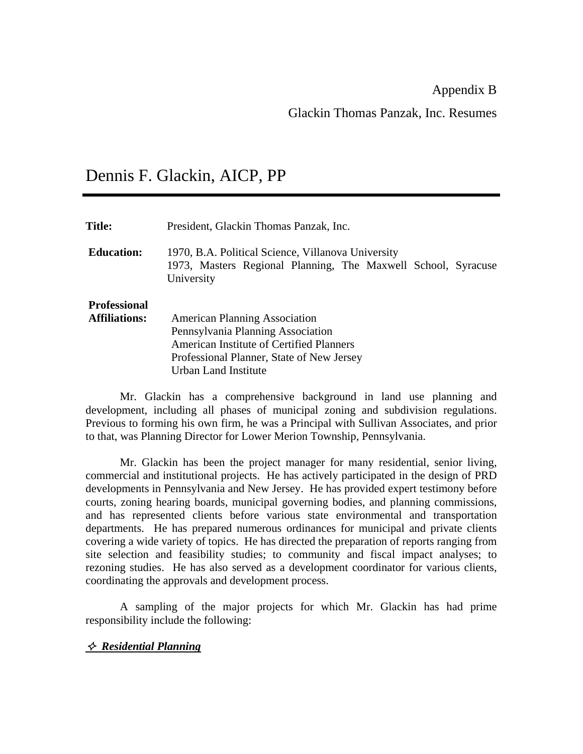Appendix B

Glackin Thomas Panzak, Inc. Resumes

# Dennis F. Glackin, AICP, PP

| <b>Title:</b>                               | President, Glackin Thomas Panzak, Inc.                                                                                                                                                     |
|---------------------------------------------|--------------------------------------------------------------------------------------------------------------------------------------------------------------------------------------------|
| <b>Education:</b>                           | 1970, B.A. Political Science, Villanova University<br>1973, Masters Regional Planning, The Maxwell School, Syracuse<br>University                                                          |
| <b>Professional</b><br><b>Affiliations:</b> | <b>American Planning Association</b><br>Pennsylvania Planning Association<br>American Institute of Certified Planners<br>Professional Planner, State of New Jersey<br>Urban Land Institute |

 Mr. Glackin has a comprehensive background in land use planning and development, including all phases of municipal zoning and subdivision regulations. Previous to forming his own firm, he was a Principal with Sullivan Associates, and prior to that, was Planning Director for Lower Merion Township, Pennsylvania.

Mr. Glackin has been the project manager for many residential, senior living, commercial and institutional projects. He has actively participated in the design of PRD developments in Pennsylvania and New Jersey. He has provided expert testimony before courts, zoning hearing boards, municipal governing bodies, and planning commissions, and has represented clients before various state environmental and transportation departments. He has prepared numerous ordinances for municipal and private clients covering a wide variety of topics. He has directed the preparation of reports ranging from site selection and feasibility studies; to community and fiscal impact analyses; to rezoning studies. He has also served as a development coordinator for various clients, coordinating the approvals and development process.

A sampling of the major projects for which Mr. Glackin has had prime responsibility include the following:

## *Residential Planning*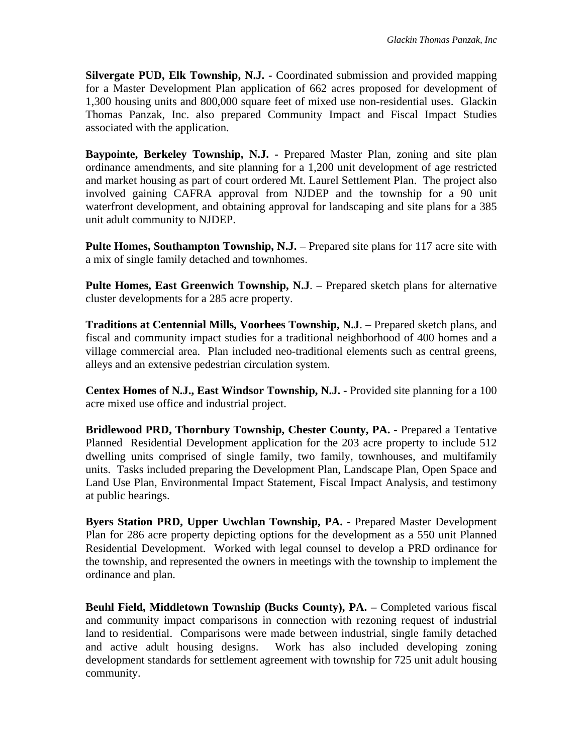**Silvergate PUD, Elk Township, N.J. -** Coordinated submission and provided mapping for a Master Development Plan application of 662 acres proposed for development of 1,300 housing units and 800,000 square feet of mixed use non-residential uses. Glackin Thomas Panzak, Inc. also prepared Community Impact and Fiscal Impact Studies associated with the application.

**Baypointe, Berkeley Township, N.J. -** Prepared Master Plan, zoning and site plan ordinance amendments, and site planning for a 1,200 unit development of age restricted and market housing as part of court ordered Mt. Laurel Settlement Plan. The project also involved gaining CAFRA approval from NJDEP and the township for a 90 unit waterfront development, and obtaining approval for landscaping and site plans for a 385 unit adult community to NJDEP.

**Pulte Homes, Southampton Township, N.J.** – Prepared site plans for 117 acre site with a mix of single family detached and townhomes.

**Pulte Homes, East Greenwich Township, N.J**. – Prepared sketch plans for alternative cluster developments for a 285 acre property.

**Traditions at Centennial Mills, Voorhees Township, N.J**. – Prepared sketch plans, and fiscal and community impact studies for a traditional neighborhood of 400 homes and a village commercial area. Plan included neo-traditional elements such as central greens, alleys and an extensive pedestrian circulation system.

**Centex Homes of N.J., East Windsor Township, N.J. -** Provided site planning for a 100 acre mixed use office and industrial project.

**Bridlewood PRD, Thornbury Township, Chester County, PA. -** Prepared a Tentative Planned Residential Development application for the 203 acre property to include 512 dwelling units comprised of single family, two family, townhouses, and multifamily units. Tasks included preparing the Development Plan, Landscape Plan, Open Space and Land Use Plan, Environmental Impact Statement, Fiscal Impact Analysis, and testimony at public hearings.

**Byers Station PRD, Upper Uwchlan Township, PA.** - Prepared Master Development Plan for 286 acre property depicting options for the development as a 550 unit Planned Residential Development. Worked with legal counsel to develop a PRD ordinance for the township, and represented the owners in meetings with the township to implement the ordinance and plan.

**Beuhl Field, Middletown Township (Bucks County), PA. - Completed various fiscal** and community impact comparisons in connection with rezoning request of industrial land to residential. Comparisons were made between industrial, single family detached and active adult housing designs. Work has also included developing zoning development standards for settlement agreement with township for 725 unit adult housing community.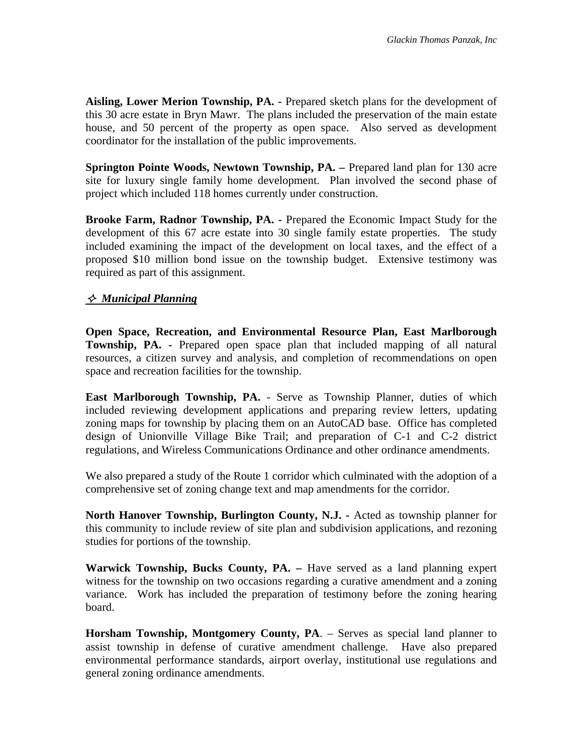**Aisling, Lower Merion Township, PA. -** Prepared sketch plans for the development of this 30 acre estate in Bryn Mawr. The plans included the preservation of the main estate house, and 50 percent of the property as open space. Also served as development coordinator for the installation of the public improvements.

**Springton Pointe Woods, Newtown Township, PA. –** Prepared land plan for 130 acre site for luxury single family home development. Plan involved the second phase of project which included 118 homes currently under construction.

**Brooke Farm, Radnor Township, PA. -** Prepared the Economic Impact Study for the development of this 67 acre estate into 30 single family estate properties. The study included examining the impact of the development on local taxes, and the effect of a proposed \$10 million bond issue on the township budget. Extensive testimony was required as part of this assignment.

# *Municipal Planning*

**Open Space, Recreation, and Environmental Resource Plan, East Marlborough Township, PA. -** Prepared open space plan that included mapping of all natural resources, a citizen survey and analysis, and completion of recommendations on open space and recreation facilities for the township.

**East Marlborough Township, PA.** - Serve as Township Planner, duties of which included reviewing development applications and preparing review letters, updating zoning maps for township by placing them on an AutoCAD base. Office has completed design of Unionville Village Bike Trail; and preparation of C-1 and C-2 district regulations, and Wireless Communications Ordinance and other ordinance amendments.

We also prepared a study of the Route 1 corridor which culminated with the adoption of a comprehensive set of zoning change text and map amendments for the corridor.

**North Hanover Township, Burlington County, N.J. -** Acted as township planner for this community to include review of site plan and subdivision applications, and rezoning studies for portions of the township.

**Warwick Township, Bucks County, PA. –** Have served as a land planning expert witness for the township on two occasions regarding a curative amendment and a zoning variance. Work has included the preparation of testimony before the zoning hearing board.

**Horsham Township, Montgomery County, PA**. – Serves as special land planner to assist township in defense of curative amendment challenge. Have also prepared environmental performance standards, airport overlay, institutional use regulations and general zoning ordinance amendments.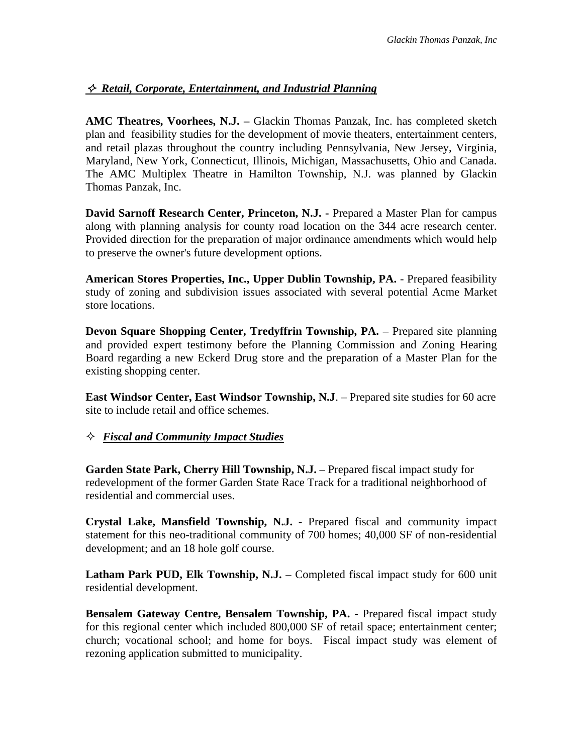# *Retail, Corporate, Entertainment, and Industrial Planning*

**AMC Theatres, Voorhees, N.J. –** Glackin Thomas Panzak, Inc. has completed sketch plan and feasibility studies for the development of movie theaters, entertainment centers, and retail plazas throughout the country including Pennsylvania, New Jersey, Virginia, Maryland, New York, Connecticut, Illinois, Michigan, Massachusetts, Ohio and Canada. The AMC Multiplex Theatre in Hamilton Township, N.J. was planned by Glackin Thomas Panzak, Inc.

**David Sarnoff Research Center, Princeton, N.J. -** Prepared a Master Plan for campus along with planning analysis for county road location on the 344 acre research center. Provided direction for the preparation of major ordinance amendments which would help to preserve the owner's future development options.

**American Stores Properties, Inc., Upper Dublin Township, PA.** - Prepared feasibility study of zoning and subdivision issues associated with several potential Acme Market store locations.

**Devon Square Shopping Center, Tredyffrin Township, PA.** – Prepared site planning and provided expert testimony before the Planning Commission and Zoning Hearing Board regarding a new Eckerd Drug store and the preparation of a Master Plan for the existing shopping center.

**East Windsor Center, East Windsor Township, N.J**. – Prepared site studies for 60 acre site to include retail and office schemes.

*Fiscal and Community Impact Studies*

**Garden State Park, Cherry Hill Township, N.J.** – Prepared fiscal impact study for redevelopment of the former Garden State Race Track for a traditional neighborhood of residential and commercial uses.

**Crystal Lake, Mansfield Township, N.J.** - Prepared fiscal and community impact statement for this neo-traditional community of 700 homes; 40,000 SF of non-residential development; and an 18 hole golf course.

**Latham Park PUD, Elk Township, N.J.** – Completed fiscal impact study for 600 unit residential development.

**Bensalem Gateway Centre, Bensalem Township, PA.** - Prepared fiscal impact study for this regional center which included 800,000 SF of retail space; entertainment center; church; vocational school; and home for boys. Fiscal impact study was element of rezoning application submitted to municipality.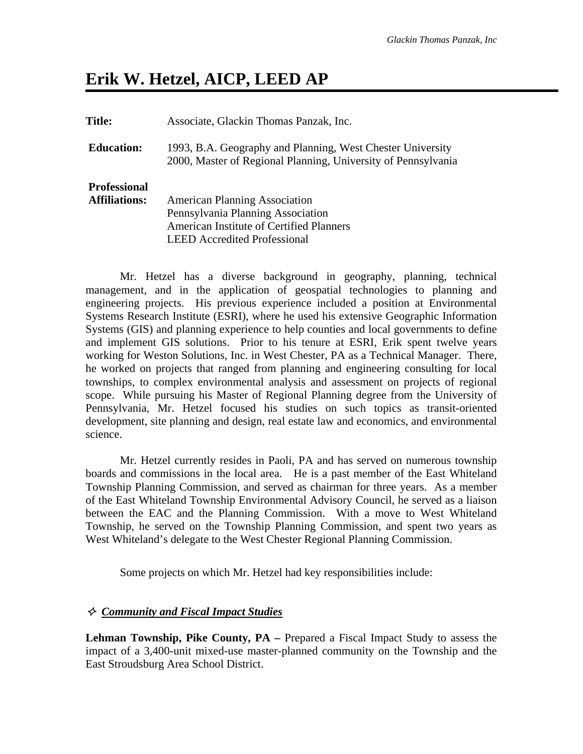# **Erik W. Hetzel, AICP, LEED AP**

**Title:** Associate, Glackin Thomas Panzak, Inc. **Education:** 1993, B.A. Geography and Planning, West Chester University 2000, Master of Regional Planning, University of Pennsylvania **Professional Affiliations:** American Planning Association Pennsylvania Planning Association American Institute of Certified Planners LEED Accredited Professional

Mr. Hetzel has a diverse background in geography, planning, technical management, and in the application of geospatial technologies to planning and engineering projects. His previous experience included a position at Environmental Systems Research Institute (ESRI), where he used his extensive Geographic Information Systems (GIS) and planning experience to help counties and local governments to define and implement GIS solutions. Prior to his tenure at ESRI, Erik spent twelve years working for Weston Solutions, Inc. in West Chester, PA as a Technical Manager. There, he worked on projects that ranged from planning and engineering consulting for local townships, to complex environmental analysis and assessment on projects of regional scope. While pursuing his Master of Regional Planning degree from the University of Pennsylvania, Mr. Hetzel focused his studies on such topics as transit-oriented development, site planning and design, real estate law and economics, and environmental science.

Mr. Hetzel currently resides in Paoli, PA and has served on numerous township boards and commissions in the local area. He is a past member of the East Whiteland Township Planning Commission, and served as chairman for three years. As a member of the East Whiteland Township Environmental Advisory Council, he served as a liaison between the EAC and the Planning Commission. With a move to West Whiteland Township, he served on the Township Planning Commission, and spent two years as West Whiteland's delegate to the West Chester Regional Planning Commission.

Some projects on which Mr. Hetzel had key responsibilities include:

## *Community and Fiscal Impact Studies*

**Lehman Township, Pike County, PA –** Prepared a Fiscal Impact Study to assess the impact of a 3,400-unit mixed-use master-planned community on the Township and the East Stroudsburg Area School District.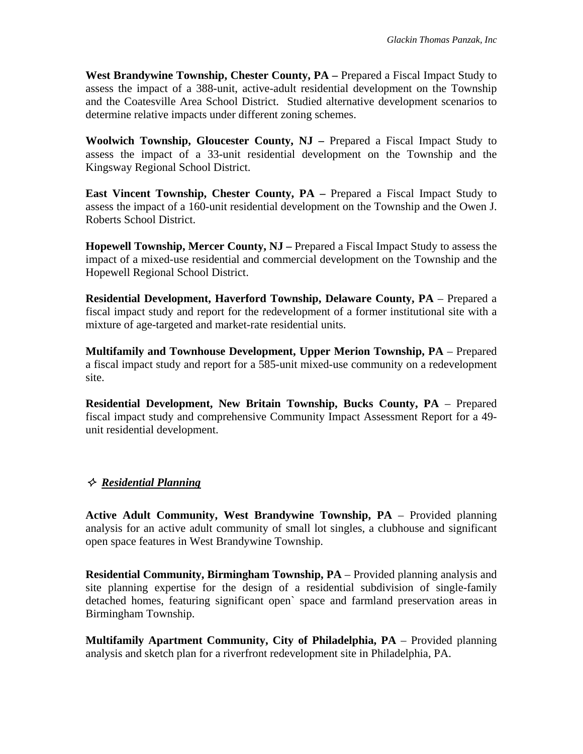**West Brandywine Township, Chester County, PA** – Prepared a Fiscal Impact Study to assess the impact of a 388-unit, active-adult residential development on the Township and the Coatesville Area School District. Studied alternative development scenarios to determine relative impacts under different zoning schemes.

**Woolwich Township, Gloucester County, NJ –** Prepared a Fiscal Impact Study to assess the impact of a 33-unit residential development on the Township and the Kingsway Regional School District.

**East Vincent Township, Chester County, PA – Prepared a Fiscal Impact Study to** assess the impact of a 160-unit residential development on the Township and the Owen J. Roberts School District.

**Hopewell Township, Mercer County, NJ –** Prepared a Fiscal Impact Study to assess the impact of a mixed-use residential and commercial development on the Township and the Hopewell Regional School District.

**Residential Development, Haverford Township, Delaware County, PA** – Prepared a fiscal impact study and report for the redevelopment of a former institutional site with a mixture of age-targeted and market-rate residential units.

**Multifamily and Townhouse Development, Upper Merion Township, PA** – Prepared a fiscal impact study and report for a 585-unit mixed-use community on a redevelopment site.

**Residential Development, New Britain Township, Bucks County, PA** – Prepared fiscal impact study and comprehensive Community Impact Assessment Report for a 49 unit residential development.

# *Residential Planning*

**Active Adult Community, West Brandywine Township, PA** – Provided planning analysis for an active adult community of small lot singles, a clubhouse and significant open space features in West Brandywine Township.

**Residential Community, Birmingham Township, PA** – Provided planning analysis and site planning expertise for the design of a residential subdivision of single-family detached homes, featuring significant open` space and farmland preservation areas in Birmingham Township.

**Multifamily Apartment Community, City of Philadelphia, PA** – Provided planning analysis and sketch plan for a riverfront redevelopment site in Philadelphia, PA.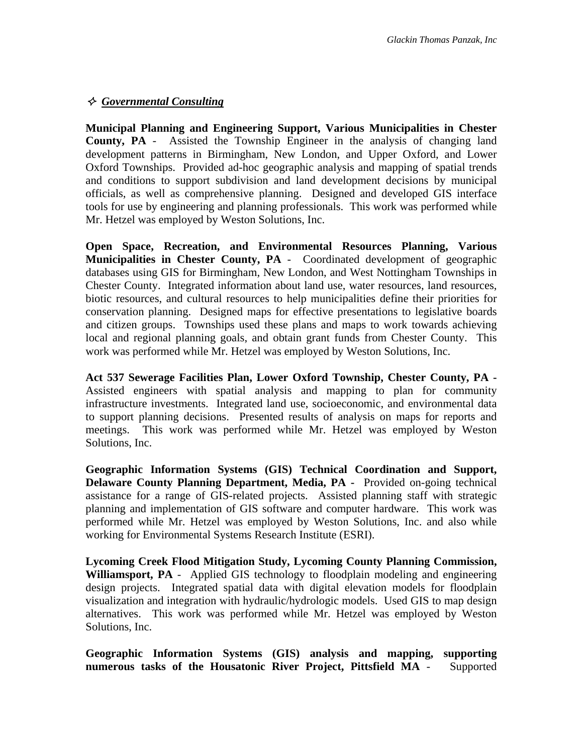# *Governmental Consulting*

**Municipal Planning and Engineering Support, Various Municipalities in Chester County, PA** - Assisted the Township Engineer in the analysis of changing land development patterns in Birmingham, New London, and Upper Oxford, and Lower Oxford Townships. Provided ad-hoc geographic analysis and mapping of spatial trends and conditions to support subdivision and land development decisions by municipal officials, as well as comprehensive planning. Designed and developed GIS interface tools for use by engineering and planning professionals. This work was performed while Mr. Hetzel was employed by Weston Solutions, Inc.

**Open Space, Recreation, and Environmental Resources Planning, Various Municipalities in Chester County, PA** - Coordinated development of geographic databases using GIS for Birmingham, New London, and West Nottingham Townships in Chester County. Integrated information about land use, water resources, land resources, biotic resources, and cultural resources to help municipalities define their priorities for conservation planning. Designed maps for effective presentations to legislative boards and citizen groups. Townships used these plans and maps to work towards achieving local and regional planning goals, and obtain grant funds from Chester County. This work was performed while Mr. Hetzel was employed by Weston Solutions, Inc.

**Act 537 Sewerage Facilities Plan, Lower Oxford Township, Chester County, PA -**  Assisted engineers with spatial analysis and mapping to plan for community infrastructure investments. Integrated land use, socioeconomic, and environmental data to support planning decisions. Presented results of analysis on maps for reports and meetings. This work was performed while Mr. Hetzel was employed by Weston Solutions, Inc.

**Geographic Information Systems (GIS) Technical Coordination and Support, Delaware County Planning Department, Media, PA -** Provided on-going technical assistance for a range of GIS-related projects. Assisted planning staff with strategic planning and implementation of GIS software and computer hardware. This work was performed while Mr. Hetzel was employed by Weston Solutions, Inc. and also while working for Environmental Systems Research Institute (ESRI).

**Lycoming Creek Flood Mitigation Study, Lycoming County Planning Commission, Williamsport, PA** - Applied GIS technology to floodplain modeling and engineering design projects. Integrated spatial data with digital elevation models for floodplain visualization and integration with hydraulic/hydrologic models. Used GIS to map design alternatives. This work was performed while Mr. Hetzel was employed by Weston Solutions, Inc.

**Geographic Information Systems (GIS) analysis and mapping, supporting numerous tasks of the Housatonic River Project, Pittsfield MA** - Supported